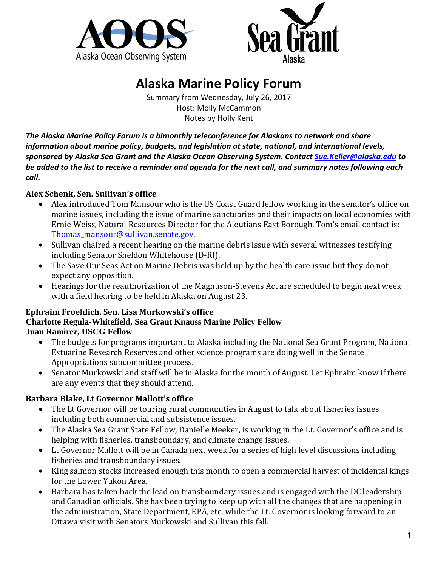



# **Alaska Marine Policy Forum**

Summary from Wednesday, July 26, 2017 Host: Molly McCammon Notes by Holly Kent

*The Alaska Marine Policy Forum is a bimonthly teleconference for Alaskans to network and share information about marine policy, budgets, and legislation at state, national, and international levels, sponsored by Alaska Sea Grant and the Alaska Ocean Observing System. Contac[t Sue.Keller@alaska.edu](mailto:Sue.Keller@alaska.edu) to be added to the list to receive a reminder and agenda for the next call, and summary notes following each call.*

## **Alex Schenk, Sen. Sullivan's office**

- Alex introduced Tom Mansour who is the US Coast Guard fellow working in the senator's office on marine issues, including the issue of marine sanctuaries and their impacts on local economies with Ernie Weiss, Natural Resources Director for the Aleutians East Borough. Tom's email contact is: Thomas mansour@sullivan.senate.gov.
- Sullivan chaired a recent hearing on the marine debris issue with several witnesses testifying including Senator Sheldon Whitehouse (D-RI).
- The Save Our Seas Act on Marine Debris was held up by the health care issue but they do not expect any opposition.
- Hearings for the reauthorization of the Magnuson-Stevens Act are scheduled to begin next week with a field hearing to be held in Alaska on August 23.

#### **Ephraim Froehlich, Sen. Lisa Murkowski's office Charlotte Regula-Whitefield, Sea Grant Knauss Marine Policy Fellow Juan Ramirez, USCG Fellow**

- The budgets for programs important to Alaska including the National Sea Grant Program, National Estuarine Research Reserves and other science programs are doing well in the Senate Appropriations subcommittee process.
- Senator Murkowski and staff will be in Alaska for the month of August. Let Ephraim know if there are any events that they should attend.

# **Barbara Blake, Lt Governor Mallott's office**

- The Lt Governor will be touring rural communities in August to talk about fisheries issues including both commercial and subsistence issues.
- The Alaska Sea Grant State Fellow, Danielle Meeker, is working in the Lt. Governor's office and is helping with fisheries, transboundary, and climate change issues.
- Lt Governor Mallott will be in Canada next week for a series of high level discussions including fisheries and transboundary issues.
- King salmon stocks increased enough this month to open a commercial harvest of incidental kings for the Lower Yukon Area.
- Barbara has taken back the lead on transboundary issues and is engaged with the DC leadership and Canadian officials. She has been trying to keep up with all the changes that are happening in the administration, State Department, EPA, etc. while the Lt. Governor is looking forward to an Ottawa visit with Senators Murkowski and Sullivan this fall.